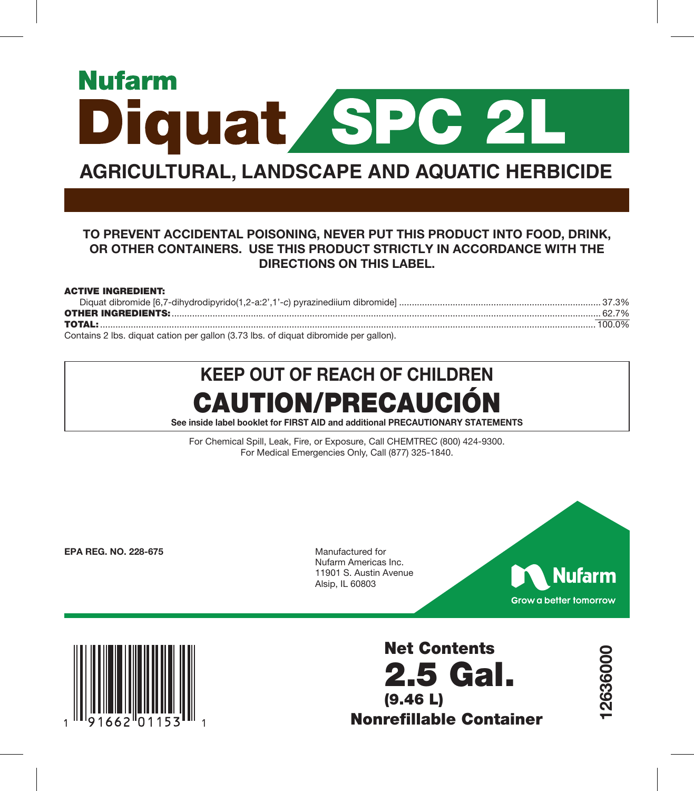# **Nufarm Diquat SPC 2L**

# **AGRICULTURAL, LANDSCAPE AND AQUATIC HERBICIDE**

## TO PREVENT ACCIDENTAL POISONING, NEVER PUT THIS PRODUCT INTO FOOD, DRINK, OR OTHER CONTAINERS. USE THIS PRODUCT STRICTLY IN ACCORDANCE WITH THE DIRECTIONS ON THIS LABEL.

#### ACTIVE INGREDIENT:

| Contains 2 lbs. diguat cation per gallon (3.73 lbs. of diguat dibromide per gallon) |  |
|-------------------------------------------------------------------------------------|--|

at cation per gallon (3.73 lbs. of diquat dibromide per gallon).

# KEEP OUT OF REACH OF CHILDREN CAUTION/PRECAUCIÓN

See inside label booklet for FIRST AID and additional PRECAUTIONARY STATEMENTS

For Chemical Spill, Leak, Fire, or Exposure, Call CHEMTREC (800) 424-9300. For Medical Emergencies Only, Call (877) 325-1840.

EPA REG. NO. 228-675

Manufactured for Nufarm Americas Inc. 11901 S. Austin Avenue Alsip, IL 60803



12636000

2636000



Net Contents 2.5 Gal. (9.46 L) Nonrefillable Container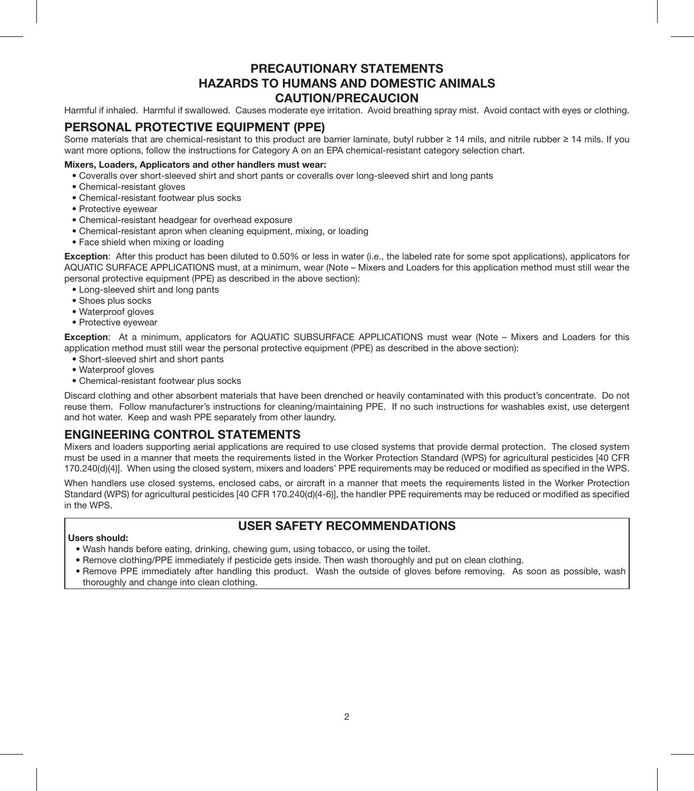## PRECAUTIONARY STATEMENTS HAZARDS TO HUMANS AND DOMESTIC ANIMALS CAUTION/PRECAUCION

Harmful if inhaled. Harmful if swallowed. Causes moderate eye irritation. Avoid breathing spray mist. Avoid contact with eyes or clothing.

## PERSONAL PROTECTIVE EQUIPMENT (PPE)

Some materials that are chemical-resistant to this product are barrier laminate, butyl rubber ≥ 14 mils, and nitrile rubber ≥ 14 mils. If you want more options, follow the instructions for Category A on an EPA chemical-resistant category selection chart.

#### Mixers, Loaders, Applicators and other handlers must wear:

- Coveralls over short-sleeved shirt and short pants or coveralls over long-sleeved shirt and long pants
- Chemical-resistant gloves
- Chemical-resistant footwear plus socks
- Protective eyewear
- Chemical-resistant headgear for overhead exposure
- Chemical-resistant apron when cleaning equipment, mixing, or loading
- Face shield when mixing or loading

Exception: After this product has been diluted to 0.50% or less in water (i.e., the labeled rate for some spot applications), applicators for AQUATIC SURFACE APPLICATIONS must, at a minimum, wear (Note – Mixers and Loaders for this application method must still wear the personal protective equipment (PPE) as described in the above section):

- Long-sleeved shirt and long pants
- Shoes plus socks
- Waterproof gloves
- Protective eyewear

Exception: At a minimum, applicators for AQUATIC SUBSURFACE APPLICATIONS must wear (Note – Mixers and Loaders for this application method must still wear the personal protective equipment (PPE) as described in the above section):

- Short-sleeved shirt and short pants
- Waterproof gloves
- Chemical-resistant footwear plus socks

Discard clothing and other absorbent materials that have been drenched or heavily contaminated with this product's concentrate. Do not reuse them. Follow manufacturer's instructions for cleaning/maintaining PPE. If no such instructions for washables exist, use detergent and hot water. Keep and wash PPE separately from other laundry.

## ENGINEERING CONTROL STATEMENTS

Mixers and loaders supporting aerial applications are required to use closed systems that provide dermal protection. The closed system must be used in a manner that meets the requirements listed in the Worker Protection Standard (WPS) for agricultural pesticides [40 CFR 170.240(d)(4)]. When using the closed system, mixers and loaders' PPE requirements may be reduced or modified as specified in the WPS.

When handlers use closed systems, enclosed cabs, or aircraft in a manner that meets the requirements listed in the Worker Protection Standard (WPS) for agricultural pesticides [40 CFR 170.240(d)(4-6)], the handler PPE requirements may be reduced or modified as specified in the WPS.

#### Users should:

## USER SAFETY RECOMMENDATIONS

- Wash hands before eating, drinking, chewing gum, using tobacco, or using the toilet.
- Remove clothing/PPE immediately if pesticide gets inside. Then wash thoroughly and put on clean clothing.
- Remove PPE immediately after handling this product. Wash the outside of gloves before removing. As soon as possible, wash thoroughly and change into clean clothing.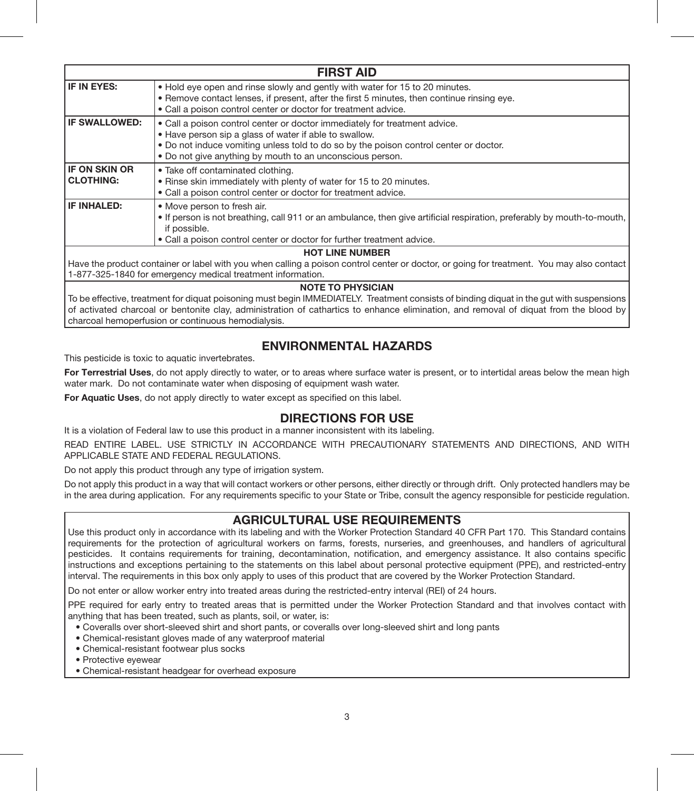| <b>FIRST AID</b>                         |                                                                                                                                                                                                                                                                                            |  |  |  |
|------------------------------------------|--------------------------------------------------------------------------------------------------------------------------------------------------------------------------------------------------------------------------------------------------------------------------------------------|--|--|--|
| IF IN EYES:                              | . Hold eye open and rinse slowly and gently with water for 15 to 20 minutes.<br>. Remove contact lenses, if present, after the first 5 minutes, then continue rinsing eye.<br>• Call a poison control center or doctor for treatment advice.                                               |  |  |  |
| IF SWALLOWED:                            | . Call a poison control center or doctor immediately for treatment advice.<br>• Have person sip a glass of water if able to swallow.<br>. Do not induce vomiting unless told to do so by the poison control center or doctor.<br>. Do not give anything by mouth to an unconscious person. |  |  |  |
| <b>IF ON SKIN OR</b><br><b>CLOTHING:</b> | • Take off contaminated clothing.<br>. Rinse skin immediately with plenty of water for 15 to 20 minutes.<br>• Call a poison control center or doctor for treatment advice.                                                                                                                 |  |  |  |
| IF INHALED:                              | . Move person to fresh air.<br>. If person is not breathing, call 911 or an ambulance, then give artificial respiration, preferably by mouth-to-mouth,<br>if possible.<br>. Call a poison control center or doctor for further treatment advice.                                           |  |  |  |
|                                          | <b>HOT LINE NUMBER</b>                                                                                                                                                                                                                                                                     |  |  |  |
|                                          | Have the product container or label with you when calling a poison control center or doctor, or going for treatment. You may also contact                                                                                                                                                  |  |  |  |

1-877-325-1840 for emergency medical treatment information.

#### NOTE TO PHYSICIAN

To be effective, treatment for diquat poisoning must begin IMMEDIATELY. Treatment consists of binding diquat in the gut with suspensions of activated charcoal or bentonite clay, administration of cathartics to enhance elimination, and removal of diquat from the blood by charcoal hemoperfusion or continuous hemodialysis.

## ENVIRONMENTAL HAZARDS

This pesticide is toxic to aquatic invertebrates.

For Terrestrial Uses, do not apply directly to water, or to areas where surface water is present, or to intertidal areas below the mean high water mark. Do not contaminate water when disposing of equipment wash water.

For Aquatic Uses, do not apply directly to water except as specified on this label.

## DIRECTIONS FOR USE

It is a violation of Federal law to use this product in a manner inconsistent with its labeling.

READ ENTIRE LABEL. USE STRICTLY IN ACCORDANCE WITH PRECAUTIONARY STATEMENTS AND DIRECTIONS, AND WITH APPLICABLE STATE AND FEDERAL REGULATIONS.

Do not apply this product through any type of irrigation system.

Do not apply this product in a way that will contact workers or other persons, either directly or through drift. Only protected handlers may be in the area during application. For any requirements specific to your State or Tribe, consult the agency responsible for pesticide regulation.

## AGRICULTURAL USE REQUIREMENTS

Use this product only in accordance with its labeling and with the Worker Protection Standard 40 CFR Part 170. This Standard contains requirements for the protection of agricultural workers on farms, forests, nurseries, and greenhouses, and handlers of agricultural pesticides. It contains requirements for training, decontamination, notification, and emergency assistance. It also contains specific instructions and exceptions pertaining to the statements on this label about personal protective equipment (PPE), and restricted-entry interval. The requirements in this box only apply to uses of this product that are covered by the Worker Protection Standard.

Do not enter or allow worker entry into treated areas during the restricted-entry interval (REI) of 24 hours.

PPE required for early entry to treated areas that is permitted under the Worker Protection Standard and that involves contact with anything that has been treated, such as plants, soil, or water, is:

- Coveralls over short-sleeved shirt and short pants, or coveralls over long-sleeved shirt and long pants
- Chemical-resistant gloves made of any waterproof material
- Chemical-resistant footwear plus socks
- Protective eyewear
- Chemical-resistant headgear for overhead exposure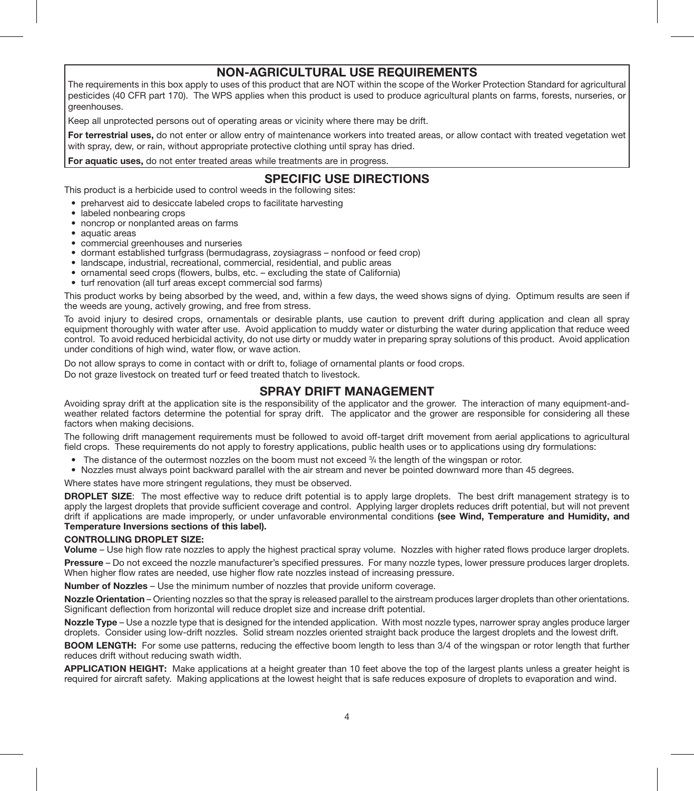## NON-AGRICULTURAL USE REQUIREMENTS

The requirements in this box apply to uses of this product that are NOT within the scope of the Worker Protection Standard for agricultural pesticides (40 CFR part 170). The WPS applies when this product is used to produce agricultural plants on farms, forests, nurseries, or greenhouses.

Keep all unprotected persons out of operating areas or vicinity where there may be drift.

For terrestrial uses, do not enter or allow entry of maintenance workers into treated areas, or allow contact with treated vegetation wet with spray, dew, or rain, without appropriate protective clothing until spray has dried.

For aquatic uses, do not enter treated areas while treatments are in progress.

## SPECIFIC USE DIRECTIONS

This product is a herbicide used to control weeds in the following sites:

- preharvest aid to desiccate labeled crops to facilitate harvesting
- labeled nonbearing crops
- noncrop or nonplanted areas on farms
- aquatic areas
- commercial greenhouses and nurseries
- dormant established turfgrass (bermudagrass, zoysiagrass nonfood or feed crop)
- landscape, industrial, recreational, commercial, residential, and public areas
- ornamental seed crops (flowers, bulbs, etc. excluding the state of California)
- turf renovation (all turf areas except commercial sod farms)

This product works by being absorbed by the weed, and, within a few days, the weed shows signs of dying. Optimum results are seen if the weeds are young, actively growing, and free from stress.

To avoid injury to desired crops, ornamentals or desirable plants, use caution to prevent drift during application and clean all spray equipment thoroughly with water after use. Avoid application to muddy water or disturbing the water during application that reduce weed control. To avoid reduced herbicidal activity, do not use dirty or muddy water in preparing spray solutions of this product. Avoid application under conditions of high wind, water flow, or wave action.

Do not allow sprays to come in contact with or drift to, foliage of ornamental plants or food crops.

Do not graze livestock on treated turf or feed treated thatch to livestock.

## SPRAY DRIFT MANAGEMENT

Avoiding spray drift at the application site is the responsibility of the applicator and the grower. The interaction of many equipment-andweather related factors determine the potential for spray drift. The applicator and the grower are responsible for considering all these factors when making decisions.

The following drift management requirements must be followed to avoid off-target drift movement from aerial applications to agricultural field crops. These requirements do not apply to forestry applications, public health uses or to applications using dry formulations:

- The distance of the outermost nozzles on the boom must not exceed <sup>3</sup>/4 the length of the wingspan or rotor.
- Nozzles must always point backward parallel with the air stream and never be pointed downward more than 45 degrees.

Where states have more stringent regulations, they must be observed.

DROPLET SIZE: The most effective way to reduce drift potential is to apply large droplets. The best drift management strategy is to apply the largest droplets that provide sufficient coverage and control. Applying larger droplets reduces drift potential, but will not prevent drift if applications are made improperly, or under unfavorable environmental conditions (see Wind, Temperature and Humidity, and Temperature Inversions sections of this label).

#### CONTROLLING DROPLET SIZE:

Volume – Use high flow rate nozzles to apply the highest practical spray volume. Nozzles with higher rated flows produce larger droplets.

Pressure – Do not exceed the nozzle manufacturer's specified pressures. For many nozzle types, lower pressure produces larger droplets. When higher flow rates are needed, use higher flow rate nozzles instead of increasing pressure.

Number of Nozzles – Use the minimum number of nozzles that provide uniform coverage.

Nozzle Orientation – Orienting nozzles so that the spray is released parallel to the airstream produces larger droplets than other orientations. Significant deflection from horizontal will reduce droplet size and increase drift potential.

Nozzle Type – Use a nozzle type that is designed for the intended application. With most nozzle types, narrower spray angles produce larger droplets. Consider using low-drift nozzles. Solid stream nozzles oriented straight back produce the largest droplets and the lowest drift.

BOOM LENGTH: For some use patterns, reducing the effective boom length to less than 3/4 of the wingspan or rotor length that further reduces drift without reducing swath width.

APPLICATION HEIGHT: Make applications at a height greater than 10 feet above the top of the largest plants unless a greater height is required for aircraft safety. Making applications at the lowest height that is safe reduces exposure of droplets to evaporation and wind.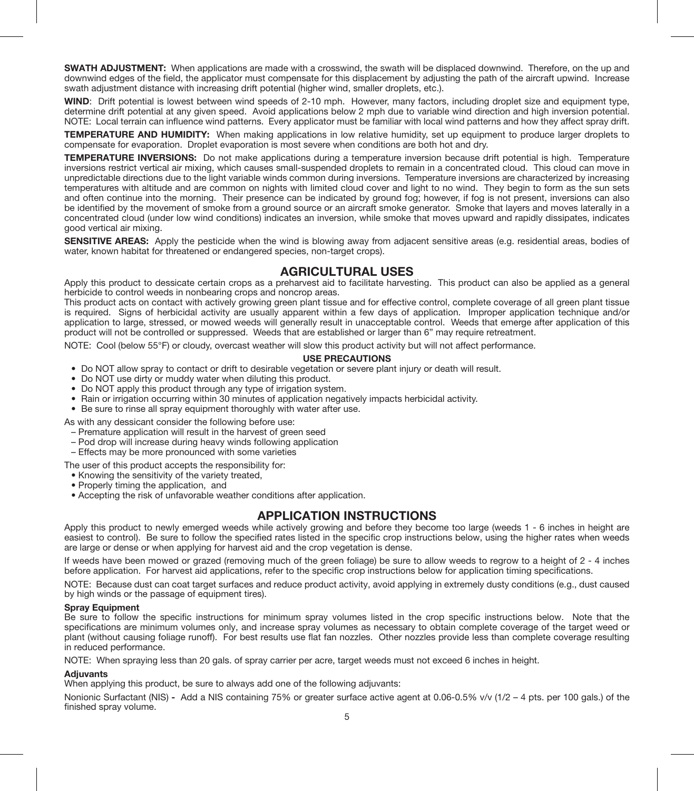SWATH ADJUSTMENT: When applications are made with a crosswind, the swath will be displaced downwind. Therefore, on the up and downwind edges of the field, the applicator must compensate for this displacement by adjusting the path of the aircraft upwind. Increase swath adjustment distance with increasing drift potential (higher wind, smaller droplets, etc.).

WIND: Drift potential is lowest between wind speeds of 2-10 mph. However, many factors, including droplet size and equipment type. determine drift potential at any given speed. Avoid applications below 2 mph due to variable wind direction and high inversion potential. NOTE: Local terrain can influence wind patterns. Every applicator must be familiar with local wind patterns and how they affect spray drift.

TEMPERATURE AND HUMIDITY: When making applications in low relative humidity, set up equipment to produce larger droplets to compensate for evaporation. Droplet evaporation is most severe when conditions are both hot and dry.

TEMPERATURE INVERSIONS: Do not make applications during a temperature inversion because drift potential is high. Temperature inversions restrict vertical air mixing, which causes small-suspended droplets to remain in a concentrated cloud. This cloud can move in unpredictable directions due to the light variable winds common during inversions. Temperature inversions are characterized by increasing temperatures with altitude and are common on nights with limited cloud cover and light to no wind. They begin to form as the sun sets and often continue into the morning. Their presence can be indicated by ground fog; however, if fog is not present, inversions can also be identified by the movement of smoke from a ground source or an aircraft smoke generator. Smoke that layers and moves laterally in a concentrated cloud (under low wind conditions) indicates an inversion, while smoke that moves upward and rapidly dissipates, indicates good vertical air mixing.

SENSITIVE AREAS: Apply the pesticide when the wind is blowing away from adjacent sensitive areas (e.g. residential areas, bodies of water, known habitat for threatened or endangered species, non-target crops).

#### AGRICULTURAL USES

Apply this product to dessicate certain crops as a preharvest aid to facilitate harvesting. This product can also be applied as a general herbicide to control weeds in nonbearing crops and noncrop areas.

This product acts on contact with actively growing green plant tissue and for effective control, complete coverage of all green plant tissue is required. Signs of herbicidal activity are usually apparent within a few days of application. Improper application technique and/or application to large, stressed, or mowed weeds will generally result in unacceptable control. Weeds that emerge after application of this product will not be controlled or suppressed. Weeds that are established or larger than 6" may require retreatment.

NOTE: Cool (below 55°F) or cloudy, overcast weather will slow this product activity but will not affect performance.

#### USE PRECAUTIONS

- Do NOT allow spray to contact or drift to desirable vegetation or severe plant injury or death will result.
- Do NOT use dirty or muddy water when diluting this product.
- Do NOT apply this product through any type of irrigation system.
- Rain or irrigation occurring within 30 minutes of application negatively impacts herbicidal activity.
- Be sure to rinse all spray equipment thoroughly with water after use.

As with any dessicant consider the following before use:

- Premature application will result in the harvest of green seed
- Pod drop will increase during heavy winds following application
- Effects may be more pronounced with some varieties

The user of this product accepts the responsibility for:

- Knowing the sensitivity of the variety treated,
- Properly timing the application, and
- Accepting the risk of unfavorable weather conditions after application.

#### APPLICATION INSTRUCTIONS

Apply this product to newly emerged weeds while actively growing and before they become too large (weeds 1 - 6 inches in height are easiest to control). Be sure to follow the specified rates listed in the specific crop instructions below, using the higher rates when weeds are large or dense or when applying for harvest aid and the crop vegetation is dense.

If weeds have been mowed or grazed (removing much of the green foliage) be sure to allow weeds to regrow to a height of 2 - 4 inches before application. For harvest aid applications, refer to the specific crop instructions below for application timing specifications.

NOTE: Because dust can coat target surfaces and reduce product activity, avoid applying in extremely dusty conditions (e.g., dust caused by high winds or the passage of equipment tires).

#### Spray Equipment

Be sure to follow the specific instructions for minimum spray volumes listed in the crop specific instructions below. Note that the specifications are minimum volumes only, and increase spray volumes as necessary to obtain complete coverage of the target weed or plant (without causing foliage runoff). For best results use flat fan nozzles. Other nozzles provide less than complete coverage resulting in reduced performance.

NOTE: When spraying less than 20 gals. of spray carrier per acre, target weeds must not exceed 6 inches in height.

#### **Adjuvants**

When applying this product, be sure to always add one of the following adjuvants:

Nonionic Surfactant (NIS) - Add a NIS containing 75% or greater surface active agent at 0.06-0.5% v/v (1/2 – 4 pts. per 100 gals.) of the finished spray volume.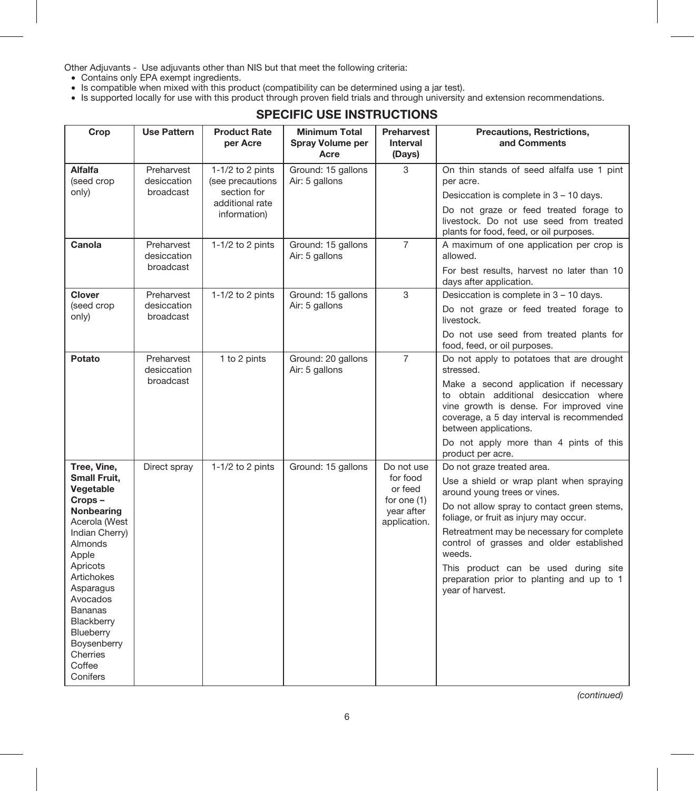Other Adjuvants - Use adjuvants other than NIS but that meet the following criteria:

- • Contains only EPA exempt ingredients.
- • Is compatible when mixed with this product (compatibility can be determined using a jar test).
- • Is supported locally for use with this product through proven field trials and through university and extension recommendations.

## SPECIFIC USE INSTRUCTIONS

| Crop                                                                                                                                                                                                                                                                     | <b>Use Pattern</b>                     | <b>Product Rate</b><br>per Acre                                                        | <b>Minimum Total</b><br>Spray Volume per<br>Acre | Preharvest<br>Interval<br>(Days)                                               | Precautions, Restrictions,<br>and Comments                                                                                                                                                                                                                                                                                                                                                                 |
|--------------------------------------------------------------------------------------------------------------------------------------------------------------------------------------------------------------------------------------------------------------------------|----------------------------------------|----------------------------------------------------------------------------------------|--------------------------------------------------|--------------------------------------------------------------------------------|------------------------------------------------------------------------------------------------------------------------------------------------------------------------------------------------------------------------------------------------------------------------------------------------------------------------------------------------------------------------------------------------------------|
| Alfalfa<br>(seed crop<br>only)                                                                                                                                                                                                                                           | Preharvest<br>desiccation<br>broadcast | 1-1/2 to 2 pints<br>(see precautions<br>section for<br>additional rate<br>information) | Ground: 15 gallons<br>Air: 5 gallons             | 3                                                                              | On thin stands of seed alfalfa use 1 pint<br>per acre.<br>Desiccation is complete in 3 - 10 days.<br>Do not graze or feed treated forage to<br>livestock. Do not use seed from treated<br>plants for food, feed, or oil purposes.                                                                                                                                                                          |
| Canola                                                                                                                                                                                                                                                                   | Preharvest<br>desiccation<br>broadcast | $1-1/2$ to 2 pints                                                                     | Ground: 15 gallons<br>Air: 5 gallons             | $\overline{7}$                                                                 | A maximum of one application per crop is<br>allowed.<br>For best results, harvest no later than 10<br>days after application.                                                                                                                                                                                                                                                                              |
| Clover<br>(seed crop<br>only)                                                                                                                                                                                                                                            | Preharvest<br>desiccation<br>broadcast | $1-1/2$ to 2 pints                                                                     | Ground: 15 gallons<br>Air: 5 gallons             | 3                                                                              | Desiccation is complete in 3 - 10 days.<br>Do not graze or feed treated forage to<br>livestock.<br>Do not use seed from treated plants for<br>food, feed, or oil purposes.                                                                                                                                                                                                                                 |
| Potato                                                                                                                                                                                                                                                                   | Preharvest<br>desiccation<br>broadcast | 1 to 2 pints                                                                           | Ground: 20 gallons<br>Air: 5 gallons             | $\overline{7}$                                                                 | Do not apply to potatoes that are drought<br>stressed.<br>Make a second application if necessary<br>to obtain additional desiccation where<br>vine growth is dense. For improved vine<br>coverage, a 5 day interval is recommended<br>between applications.<br>Do not apply more than 4 pints of this<br>product per acre.                                                                                 |
| Tree, Vine,<br>Small Fruit,<br>Vegetable<br>Crops-<br>Nonbearing<br>Acerola (West<br>Indian Cherry)<br><b>Almonds</b><br>Apple<br>Apricots<br>Artichokes<br>Asparagus<br>Avocados<br>Bananas<br>Blackberry<br>Blueberry<br>Boysenberry<br>Cherries<br>Coffee<br>Conifers | Direct spray                           | $1-1/2$ to 2 pints                                                                     | Ground: 15 gallons                               | Do not use<br>for food<br>or feed<br>for one (1)<br>year after<br>application. | Do not graze treated area.<br>Use a shield or wrap plant when spraying<br>around young trees or vines.<br>Do not allow spray to contact green stems,<br>foliage, or fruit as injury may occur.<br>Retreatment may be necessary for complete<br>control of grasses and older established<br>weeds.<br>This product can be used during site<br>preparation prior to planting and up to 1<br>year of harvest. |

*(continued)*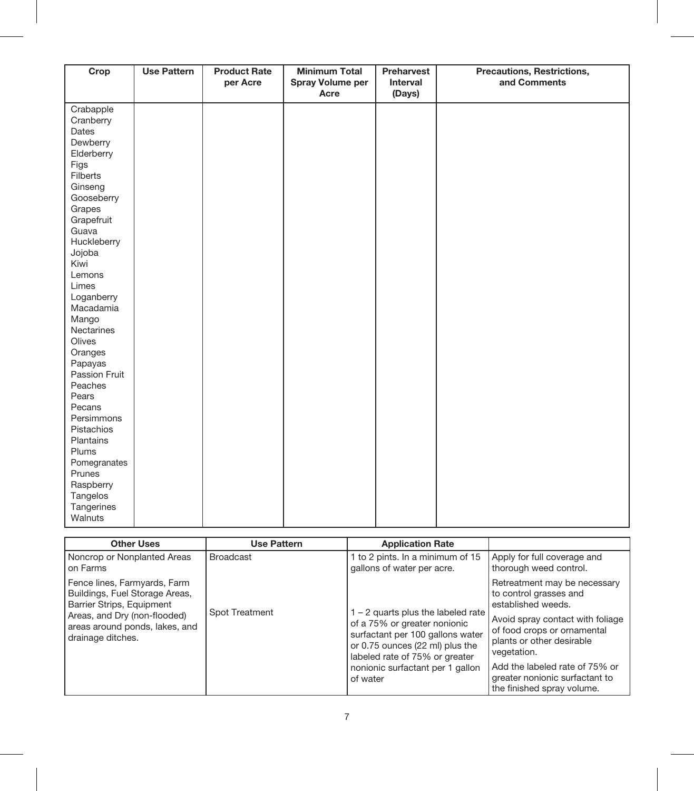| Crop          | <b>Use Pattern</b> | <b>Product Rate</b><br>per Acre | <b>Minimum Total</b><br>Spray Volume per | Preharvest<br>Interval | Precautions, Restrictions,<br>and Comments |
|---------------|--------------------|---------------------------------|------------------------------------------|------------------------|--------------------------------------------|
|               |                    |                                 | Acre                                     | (Days)                 |                                            |
| Crabapple     |                    |                                 |                                          |                        |                                            |
| Cranberry     |                    |                                 |                                          |                        |                                            |
| Dates         |                    |                                 |                                          |                        |                                            |
| Dewberry      |                    |                                 |                                          |                        |                                            |
| Elderberry    |                    |                                 |                                          |                        |                                            |
| Figs          |                    |                                 |                                          |                        |                                            |
| Filberts      |                    |                                 |                                          |                        |                                            |
| Ginseng       |                    |                                 |                                          |                        |                                            |
| Gooseberry    |                    |                                 |                                          |                        |                                            |
| Grapes        |                    |                                 |                                          |                        |                                            |
| Grapefruit    |                    |                                 |                                          |                        |                                            |
| Guava         |                    |                                 |                                          |                        |                                            |
| Huckleberry   |                    |                                 |                                          |                        |                                            |
| Jojoba        |                    |                                 |                                          |                        |                                            |
| Kiwi          |                    |                                 |                                          |                        |                                            |
| Lemons        |                    |                                 |                                          |                        |                                            |
| Limes         |                    |                                 |                                          |                        |                                            |
| Loganberry    |                    |                                 |                                          |                        |                                            |
| Macadamia     |                    |                                 |                                          |                        |                                            |
| Mango         |                    |                                 |                                          |                        |                                            |
| Nectarines    |                    |                                 |                                          |                        |                                            |
| Olives        |                    |                                 |                                          |                        |                                            |
| Oranges       |                    |                                 |                                          |                        |                                            |
| Papayas       |                    |                                 |                                          |                        |                                            |
| Passion Fruit |                    |                                 |                                          |                        |                                            |
| Peaches       |                    |                                 |                                          |                        |                                            |
| Pears         |                    |                                 |                                          |                        |                                            |
| Pecans        |                    |                                 |                                          |                        |                                            |
| Persimmons    |                    |                                 |                                          |                        |                                            |
| Pistachios    |                    |                                 |                                          |                        |                                            |
| Plantains     |                    |                                 |                                          |                        |                                            |
| Plums         |                    |                                 |                                          |                        |                                            |
| Pomegranates  |                    |                                 |                                          |                        |                                            |
| Prunes        |                    |                                 |                                          |                        |                                            |
| Raspberry     |                    |                                 |                                          |                        |                                            |
| Tangelos      |                    |                                 |                                          |                        |                                            |
| Tangerines    |                    |                                 |                                          |                        |                                            |
| Walnuts       |                    |                                 |                                          |                        |                                            |

| <b>Other Uses</b>                                                                                                                                                                  | <b>Use Pattern</b> | <b>Application Rate</b>                                                                                                                                                                                                     |                                                                                                                                                                                                                                                                                               |
|------------------------------------------------------------------------------------------------------------------------------------------------------------------------------------|--------------------|-----------------------------------------------------------------------------------------------------------------------------------------------------------------------------------------------------------------------------|-----------------------------------------------------------------------------------------------------------------------------------------------------------------------------------------------------------------------------------------------------------------------------------------------|
| Noncrop or Nonplanted Areas<br>on Farms                                                                                                                                            | <b>Broadcast</b>   | 1 to 2 pints. In a minimum of 15<br>gallons of water per acre.                                                                                                                                                              | Apply for full coverage and<br>thorough weed control.                                                                                                                                                                                                                                         |
| Fence lines, Farmyards, Farm<br>Buildings, Fuel Storage Areas,<br>Barrier Strips, Equipment<br>Areas, and Dry (non-flooded)<br>areas around ponds, lakes, and<br>drainage ditches. | Spot Treatment     | 1 - 2 quarts plus the labeled rate<br>of a 75% or greater nonionic<br>surfactant per 100 gallons water<br>or 0.75 ounces (22 ml) plus the<br>labeled rate of 75% or greater<br>nonionic surfactant per 1 gallon<br>of water | Retreatment may be necessary<br>to control grasses and<br>established weeds.<br>Avoid spray contact with foliage<br>of food crops or ornamental<br>plants or other desirable<br>vegetation.<br>Add the labeled rate of 75% or<br>greater nonionic surfactant to<br>the finished spray volume. |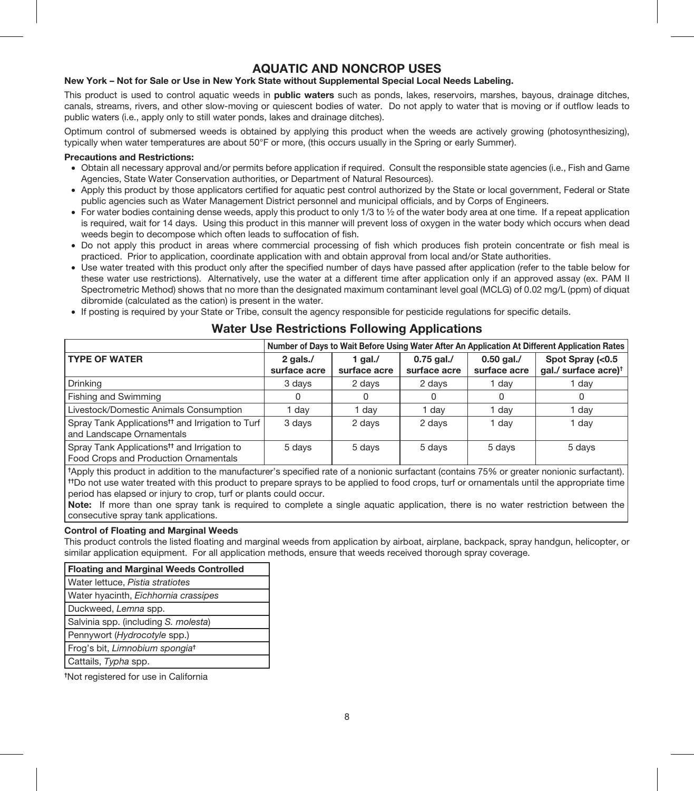## AQUATIC AND NONCROP USES

#### New York – Not for Sale or Use in New York State without Supplemental Special Local Needs Labeling.

This product is used to control aquatic weeds in **public waters** such as ponds, lakes, reservoirs, marshes, bayous, drainage ditches, canals, streams, rivers, and other slow-moving or quiescent bodies of water. Do not apply to water that is moving or if outflow leads to public waters (i.e., apply only to still water ponds, lakes and drainage ditches).

Optimum control of submersed weeds is obtained by applying this product when the weeds are actively growing (photosynthesizing), typically when water temperatures are about 50°F or more, (this occurs usually in the Spring or early Summer).

#### Precautions and Restrictions:

- • Obtain all necessary approval and/or permits before application if required. Consult the responsible state agencies (i.e., Fish and Game Agencies, State Water Conservation authorities, or Department of Natural Resources).
- • Apply this product by those applicators certified for aquatic pest control authorized by the State or local government, Federal or State public agencies such as Water Management District personnel and municipal officials, and by Corps of Engineers.
- For water bodies containing dense weeds, apply this product to only 1/3 to  $\frac{1}{2}$  of the water body area at one time. If a repeat application is required, wait for 14 days. Using this product in this manner will prevent loss of oxygen in the water body which occurs when dead weeds begin to decompose which often leads to suffocation of fish.
- • Do not apply this product in areas where commercial processing of fish which produces fish protein concentrate or fish meal is practiced. Prior to application, coordinate application with and obtain approval from local and/or State authorities.
- Use water treated with this product only after the specified number of days have passed after application (refer to the table below for these water use restrictions). Alternatively, use the water at a different time after application only if an approved assay (ex. PAM II Spectrometric Method) shows that no more than the designated maximum contaminant level goal (MCLG) of 0.02 mg/L (ppm) of diguat dibromide (calculated as the cation) is present in the water.
- • If posting is required by your State or Tribe, consult the agency responsible for pesticide regulations for specific details.

## Water Use Restrictions Following Applications

|                                                                                                  | Number of Days to Wait Before Using Water After An Application At Different Application Rates |                         |                              |                              |                                                      |
|--------------------------------------------------------------------------------------------------|-----------------------------------------------------------------------------------------------|-------------------------|------------------------------|------------------------------|------------------------------------------------------|
| <b>TYPE OF WATER</b>                                                                             | 2 gals./<br>surface acre                                                                      | 1 gal./<br>surface acre | $0.75$ gal./<br>surface acre | $0.50$ gal./<br>surface acre | Spot Spray (<0.5<br>gal./ surface acre) <sup>†</sup> |
| Drinking                                                                                         | 3 days                                                                                        | 2 days                  | 2 days                       | dav                          | 1 dav                                                |
| Fishing and Swimming                                                                             |                                                                                               |                         |                              | 0                            | 0                                                    |
| Livestock/Domestic Animals Consumption                                                           | 1 day                                                                                         | day                     | 1 day                        | dav                          | 1 day                                                |
| Spray Tank Applications <sup>tt</sup> and Irrigation to Turf<br>and Landscape Ornamentals        | 3 days                                                                                        | 2 days                  | 2 days                       | dav                          | 1 day                                                |
| Spray Tank Applications <sup>tt</sup> and Irrigation to<br>Food Crops and Production Ornamentals | 5 days                                                                                        | 5 days                  | 5 days                       | 5 days                       | 5 days                                               |

† Apply this product in addition to the manufacturer's specified rate of a nonionic surfactant (contains 75% or greater nonionic surfactant). ††Do not use water treated with this product to prepare sprays to be applied to food crops, turf or ornamentals until the appropriate time period has elapsed or injury to crop, turf or plants could occur.

Note: If more than one spray tank is required to complete a single aquatic application, there is no water restriction between the consecutive spray tank applications.

#### Control of Floating and Marginal Weeds

This product controls the listed floating and marginal weeds from application by airboat, airplane, backpack, spray handgun, helicopter, or similar application equipment. For all application methods, ensure that weeds received thorough spray coverage.

| Floating and Marginal Weeds Controlled     |
|--------------------------------------------|
| Water lettuce, Pistia stratiotes           |
| Water hyacinth, Eichhornia crassipes       |
| Duckweed, Lemna spp.                       |
| Salvinia spp. (including S. molesta)       |
| Pennywort (Hydrocotyle spp.)               |
| Frog's bit, Limnobium spongia <sup>t</sup> |
| Cattails, Typha spp.                       |
|                                            |

† Not registered for use in California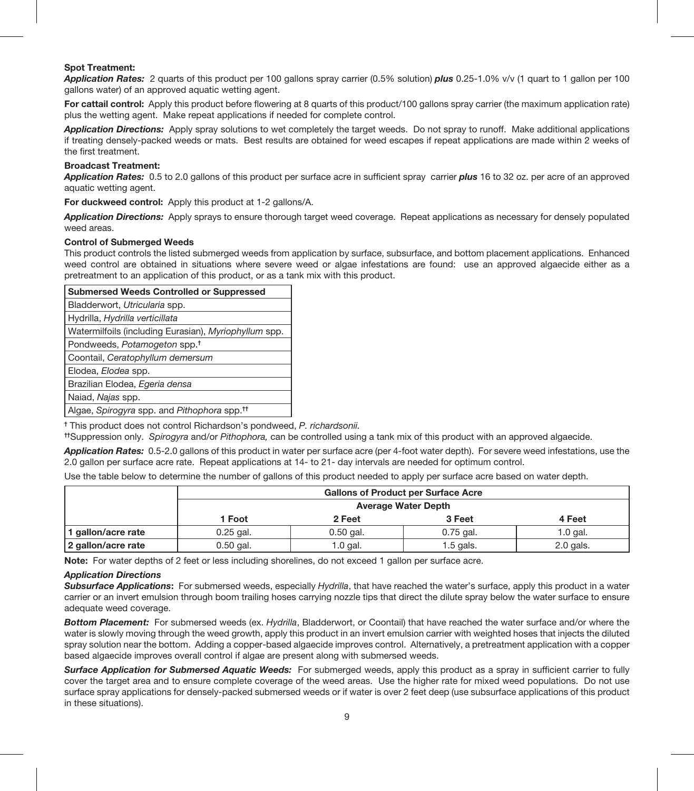#### Spot Treatment:

*Application Rates:* 2 quarts of this product per 100 gallons spray carrier (0.5% solution) *plus* 0.25-1.0% v/v (1 quart to 1 gallon per 100 gallons water) of an approved aquatic wetting agent.

For cattail control: Apply this product before flowering at 8 quarts of this product/100 gallons spray carrier (the maximum application rate) plus the wetting agent. Make repeat applications if needed for complete control.

*Application Directions:* Apply spray solutions to wet completely the target weeds. Do not spray to runoff. Make additional applications if treating densely-packed weeds or mats. Best results are obtained for weed escapes if repeat applications are made within 2 weeks of the first treatment.

#### Broadcast Treatment:

*Application Rates:* 0.5 to 2.0 gallons of this product per surface acre in sufficient spray carrier *plus* 16 to 32 oz. per acre of an approved aquatic wetting agent.

For duckweed control: Apply this product at 1-2 gallons/A.

**Application Directions:** Apply sprays to ensure thorough target weed coverage. Repeat applications as necessary for densely populated weed areas.

#### Control of Submerged Weeds

This product controls the listed submerged weeds from application by surface, subsurface, and bottom placement applications. Enhanced weed control are obtained in situations where severe weed or algae infestations are found: use an approved algaecide either as a pretreatment to an application of this product, or as a tank mix with this product.

| <b>Submersed Weeds Controlled or Suppressed</b>         |  |  |  |
|---------------------------------------------------------|--|--|--|
| Bladderwort, Utricularia spp.                           |  |  |  |
| Hydrilla, Hydrilla verticillata                         |  |  |  |
| Watermilfoils (including Eurasian), Myriophyllum spp.   |  |  |  |
| Pondweeds, Potamogeton spp. <sup>†</sup>                |  |  |  |
| Coontail, Ceratophyllum demersum                        |  |  |  |
| Elodea, Elodea spp.                                     |  |  |  |
| Brazilian Elodea, Egeria densa                          |  |  |  |
| Naiad, Najas spp.                                       |  |  |  |
| Algae, Spirogyra spp. and Pithophora spp. <sup>11</sup> |  |  |  |

† This product does not control Richardson's pondweed, *P. richardsonii.*

††Suppression only. *Spirogyra* and/or *Pithophora,* can be controlled using a tank mix of this product with an approved algaecide.

**Application Rates:** 0.5-2.0 gallons of this product in water per surface acre (per 4-foot water depth). For severe weed infestations, use the 2.0 gallon per surface acre rate. Repeat applications at 14- to 21- day intervals are needed for optimum control.

Use the table below to determine the number of gallons of this product needed to apply per surface acre based on water depth.

|                    | <b>Gallons of Product per Surface Acre</b> |             |             |             |  |  |  |
|--------------------|--------------------------------------------|-------------|-------------|-------------|--|--|--|
|                    | <b>Average Water Depth</b>                 |             |             |             |  |  |  |
|                    | 3 Feet<br>2 Feet<br>1 Foot<br>4 Feet       |             |             |             |  |  |  |
| I gallon/acre rate | $0.25$ gal.                                | $0.50$ gal. | $0.75$ gal. | 1.0 gal.    |  |  |  |
| 2 gallon/acre rate | $0.50$ gal.                                | $1.0$ gal.  | $1.5$ gals. | $2.0$ gals. |  |  |  |

Note: For water depths of 2 feet or less including shorelines, do not exceed 1 gallon per surface acre.

#### *Application Directions*

*Subsurface Applications*: For submersed weeds, especially *Hydrilla*, that have reached the water's surface, apply this product in a water carrier or an invert emulsion through boom trailing hoses carrying nozzle tips that direct the dilute spray below the water surface to ensure adequate weed coverage.

*Bottom Placement:* For submersed weeds (ex. *Hydrilla*, Bladderwort, or Coontail) that have reached the water surface and/or where the water is slowly moving through the weed growth, apply this product in an invert emulsion carrier with weighted hoses that injects the diluted spray solution near the bottom. Adding a copper-based algaecide improves control. Alternatively, a pretreatment application with a copper based algaecide improves overall control if algae are present along with subme*r*sed weeds.

Surface Application for Submersed Aquatic Weeds: For submerged weeds, apply this product as a spray in sufficient carrier to fully cover the target area and to ensure complete coverage of the weed areas. Use the higher rate for mixed weed populations. Do not use surface spray applications for densely-packed submersed weeds or if water is over 2 feet deep (use subsurface applications of this product in these situations).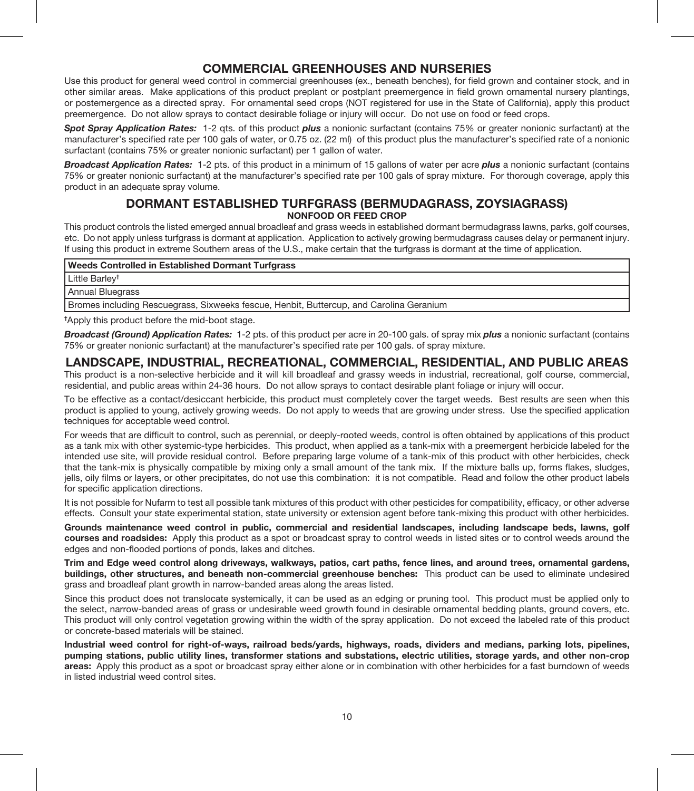## COMMERCIAL GREENHOUSES AND NURSERIES

Use this product for general weed control in commercial greenhouses (ex., beneath benches), for field grown and container stock, and in other similar areas. Make applications of this product preplant or postplant preemergence in field grown ornamental nursery plantings, or postemergence as a directed spray. For ornamental seed crops (NOT registered for use in the State of California), apply this product preemergence. Do not allow sprays to contact desirable foliage or injury will occur. Do not use on food or feed crops.

*Spot Spray Application Rates:* 1-2 qts. of this product *plus* a nonionic surfactant (contains 75% or greater nonionic surfactant) at the manufacturer's specified rate per 100 gals of water, or 0.75 oz. (22 ml) of this product plus the manufacturer's specified rate of a nonionic surfactant (contains 75% or greater nonionic surfactant) per 1 gallon of water.

*Broadcast Application Rates:* 1-2 pts. of this product in a minimum of 15 gallons of water per acre *plus* a nonionic surfactant (contains 75% or greater nonionic surfactant) at the manufacturer's specified rate per 100 gals of spray mixture. For thorough coverage, apply this product in an adequate spray volume.

#### DORMANT ESTABLISHED TURFGRASS (BERMUDAGRASS, ZOYSIAGRASS) NONFOOD OR FEED CROP

This product controls the listed emerged annual broadleaf and grass weeds in established dormant bermudagrass lawns, parks, golf courses, etc. Do not apply unless turfgrass is dormant at application. Application to actively growing bermudagrass causes delay or permanent injury. If using this product in extreme Southern areas of the U.S., make certain that the turfgrass is dormant at the time of application.

#### Weeds Controlled in Established Dormant Turfgrass

Little Barley†

Annual Bluegrass

Bromes including Rescuegrass, Sixweeks fescue, Henbit, Buttercup, and Carolina Geranium

† Apply this product before the mid-boot stage.

*Broadcast (Ground) Application Rates:* 1-2 pts. of this product per acre in 20-100 gals. of spray mix *plus* a nonionic surfactant (contains 75% or greater nonionic surfactant) at the manufacturer's specified rate per 100 gals. of spray mixture.

#### LANDSCAPE, INDUSTRIAL, RECREATIONAL, COMMERCIAL, RESIDENTIAL, AND PUBLIC AREAS

This product is a non-selective herbicide and it will kill broadleaf and grassy weeds in industrial, recreational, golf course, commercial, residential, and public areas within 24-36 hours. Do not allow sprays to contact desirable plant foliage or injury will occur.

To be effective as a contact/desiccant herbicide, this product must completely cover the target weeds. Best results are seen when this product is applied to young, actively growing weeds. Do not apply to weeds that are growing under stress. Use the specified application techniques for acceptable weed control.

For weeds that are difficult to control, such as perennial, or deeply-rooted weeds, control is often obtained by applications of this product as a tank mix with other systemic-type herbicides. This product, when applied as a tank-mix with a preemergent herbicide labeled for the intended use site, will provide residual control. Before preparing large volume of a tank-mix of this product with other herbicides, check that the tank-mix is physically compatible by mixing only a small amount of the tank mix. If the mixture balls up, forms flakes, sludges, jells, oily films or layers, or other precipitates, do not use this combination: it is not compatible. Read and follow the other product labels for specific application directions.

It is not possible for Nufarm to test all possible tank mixtures of this product with other pesticides for compatibility, efficacy, or other adverse effects. Consult your state experimental station, state university or extension agent before tank-mixing this product with other herbicides.

Grounds maintenance weed control in public, commercial and residential landscapes, including landscape beds, lawns, golf courses and roadsides: Apply this product as a spot or broadcast spray to control weeds in listed sites or to control weeds around the edges and non-flooded portions of ponds, lakes and ditches.

Trim and Edge weed control along driveways, walkways, patios, cart paths, fence lines, and around trees, ornamental gardens, buildings, other structures, and beneath non-commercial greenhouse benches: This product can be used to eliminate undesired grass and broadleaf plant growth in narrow-banded areas along the areas listed.

Since this product does not translocate systemically, it can be used as an edging or pruning tool. This product must be applied only to the select, narrow-banded areas of grass or undesirable weed growth found in desirable ornamental bedding plants, ground covers, etc. This product will only control vegetation growing within the width of the spray application. Do not exceed the labeled rate of this product or concrete-based materials will be stained.

Industrial weed control for right-of-ways, railroad beds/yards, highways, roads, dividers and medians, parking lots, pipelines, pumping stations, public utility lines, transformer stations and substations, electric utilities, storage yards, and other non-crop areas: Apply this product as a spot or broadcast spray either alone or in combination with other herbicides for a fast burndown of weeds in listed industrial weed control sites.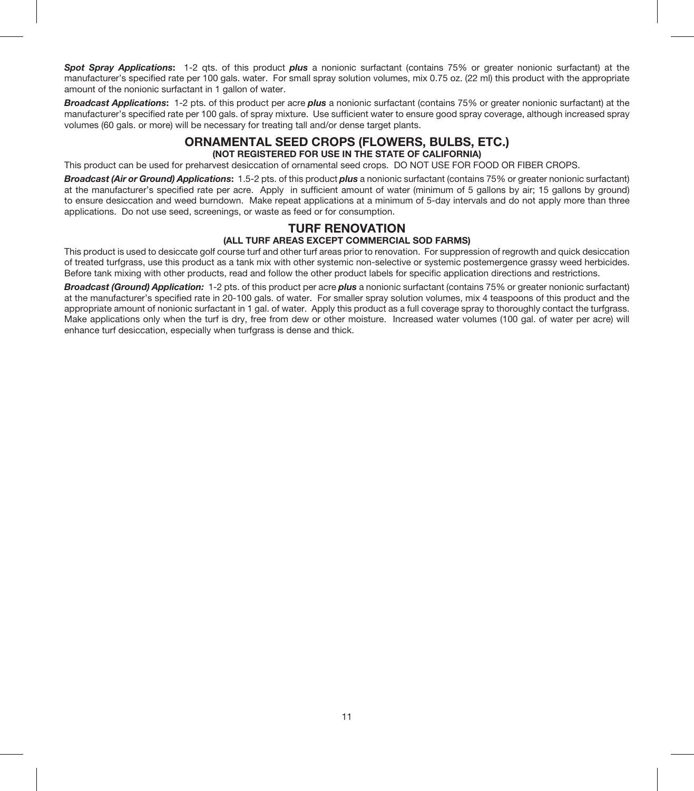*Spot Spray Applications*: 1-2 qts. of this product *plus* a nonionic surfactant (contains 75% or greater nonionic surfactant) at the manufacturer's specified rate per 100 gals. water. For small spray solution volumes, mix 0.75 oz. (22 ml) this product with the appropriate amount of the nonionic surfactant in 1 gallon of water.

*Broadcast Applications*: 1-2 pts. of this product per acre *plus* a nonionic surfactant (contains 75% or greater nonionic surfactant) at the manufacturer's specified rate per 100 gals. of spray mixture. Use sufficient water to ensure good spray coverage, although increased spray volumes (60 gals. or more) will be necessary for treating tall and/or dense target plants.

## ORNAMENTAL SEED CROPS (FLOWERS, BULBS, ETC.)

#### (NOT REGISTERED FOR USE IN THE STATE OF CALIFORNIA)

This product can be used for preharvest desiccation of ornamental seed crops. DO NOT USE FOR FOOD OR FIBER CROPS.

*Broadcast (Air or Ground) Applications*: 1.5-2 pts. of this product *plus* a nonionic surfactant (contains 75% or greater nonionic surfactant) at the manufacturer's specified rate per acre. Apply in sufficient amount of water (minimum of 5 gallons by air; 15 gallons by ground) to ensure desiccation and weed burndown. Make repeat applications at a minimum of 5-day intervals and do not apply more than three applications. Do not use seed, screenings, or waste as feed or for consumption.

#### TURF RENOVATION (ALL TURF AREAS EXCEPT COMMERCIAL SOD FARMS)

This product is used to desiccate golf course turf and other turf areas prior to renovation. For suppression of regrowth and quick desiccation of treated turfgrass, use this product as a tank mix with other systemic non-selective or systemic postemergence grassy weed herbicides. Before tank mixing with other products, read and follow the other product labels for specific application directions and restrictions.

*Broadcast (Ground) Application:* 1-2 pts. of this product per acre *plus* a nonionic surfactant (contains 75% or greater nonionic surfactant) at the manufacturer's specified rate in 20-100 gals. of water. For smaller spray solution volumes, mix 4 teaspoons of this product and the appropriate amount of nonionic surfactant in 1 gal. of water. Apply this product as a full coverage spray to thoroughly contact the turfgrass. Make applications only when the turf is dry, free from dew or other moisture. Increased water volumes (100 gal. of water per acre) will enhance turf desiccation, especially when turfgrass is dense and thick.